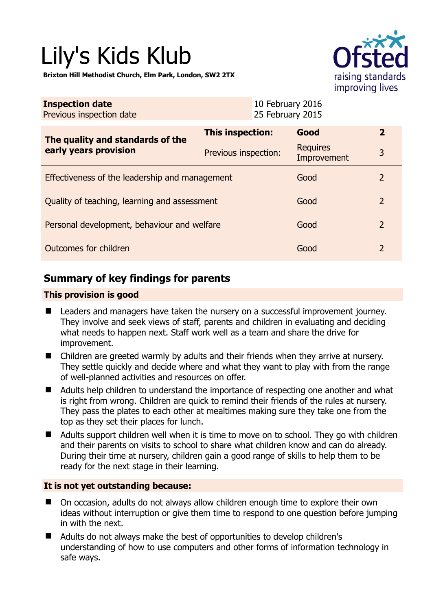# Lily's Kids Klub

**Brixton Hill Methodist Church, Elm Park, London, SW2 2TX** 



| <b>Inspection date</b><br>Previous inspection date        | 10 February 2016<br>25 February 2015 |                                |                |
|-----------------------------------------------------------|--------------------------------------|--------------------------------|----------------|
| The quality and standards of the<br>early years provision | This inspection:                     | Good                           | $\mathbf{2}$   |
|                                                           | Previous inspection:                 | <b>Requires</b><br>Improvement | 3              |
| Effectiveness of the leadership and management            |                                      | Good                           | $\overline{2}$ |
| Quality of teaching, learning and assessment              |                                      | Good                           | 2              |
| Personal development, behaviour and welfare               |                                      | Good                           | $\overline{2}$ |
| Outcomes for children                                     |                                      | Good                           | $\overline{2}$ |

# **Summary of key findings for parents**

## **This provision is good**

- **Leaders and managers have taken the nursery on a successful improvement journey.** They involve and seek views of staff, parents and children in evaluating and deciding what needs to happen next. Staff work well as a team and share the drive for improvement.
- Children are greeted warmly by adults and their friends when they arrive at nursery. They settle quickly and decide where and what they want to play with from the range of well-planned activities and resources on offer.
- Adults help children to understand the importance of respecting one another and what is right from wrong. Children are quick to remind their friends of the rules at nursery. They pass the plates to each other at mealtimes making sure they take one from the top as they set their places for lunch.
- Adults support children well when it is time to move on to school. They go with children and their parents on visits to school to share what children know and can do already. During their time at nursery, children gain a good range of skills to help them to be ready for the next stage in their learning.

## **It is not yet outstanding because:**

- On occasion, adults do not always allow children enough time to explore their own ideas without interruption or give them time to respond to one question before jumping in with the next.
- Adults do not always make the best of opportunities to develop children's understanding of how to use computers and other forms of information technology in safe ways.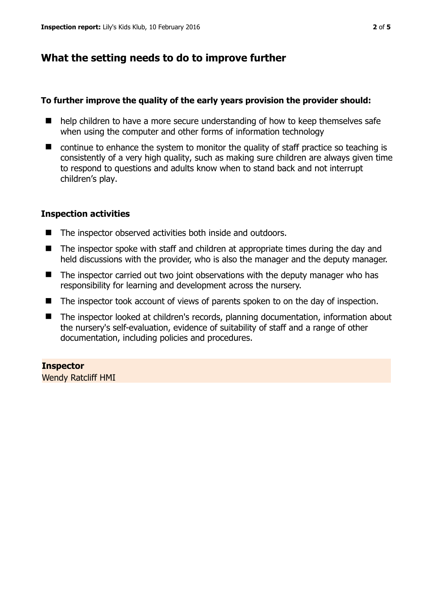# **What the setting needs to do to improve further**

## **To further improve the quality of the early years provision the provider should:**

- help children to have a more secure understanding of how to keep themselves safe when using the computer and other forms of information technology
- continue to enhance the system to monitor the quality of staff practice so teaching is consistently of a very high quality, such as making sure children are always given time to respond to questions and adults know when to stand back and not interrupt children's play.

## **Inspection activities**

- The inspector observed activities both inside and outdoors.
- The inspector spoke with staff and children at appropriate times during the day and held discussions with the provider, who is also the manager and the deputy manager.
- The inspector carried out two joint observations with the deputy manager who has responsibility for learning and development across the nursery.
- The inspector took account of views of parents spoken to on the day of inspection.
- The inspector looked at children's records, planning documentation, information about the nursery's self-evaluation, evidence of suitability of staff and a range of other documentation, including policies and procedures.

## **Inspector**

Wendy Ratcliff HMI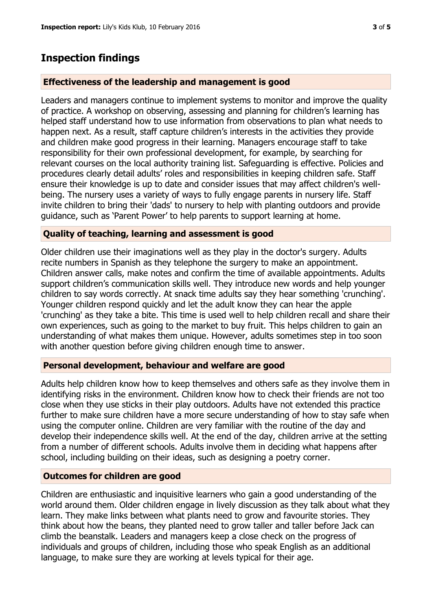## **Inspection findings**

### **Effectiveness of the leadership and management is good**

Leaders and managers continue to implement systems to monitor and improve the quality of practice. A workshop on observing, assessing and planning for children's learning has helped staff understand how to use information from observations to plan what needs to happen next. As a result, staff capture children's interests in the activities they provide and children make good progress in their learning. Managers encourage staff to take responsibility for their own professional development, for example, by searching for relevant courses on the local authority training list. Safeguarding is effective. Policies and procedures clearly detail adults' roles and responsibilities in keeping children safe. Staff ensure their knowledge is up to date and consider issues that may affect children's wellbeing. The nursery uses a variety of ways to fully engage parents in nursery life. Staff invite children to bring their 'dads' to nursery to help with planting outdoors and provide guidance, such as 'Parent Power' to help parents to support learning at home.

#### **Quality of teaching, learning and assessment is good**

Older children use their imaginations well as they play in the doctor's surgery. Adults recite numbers in Spanish as they telephone the surgery to make an appointment. Children answer calls, make notes and confirm the time of available appointments. Adults support children's communication skills well. They introduce new words and help younger children to say words correctly. At snack time adults say they hear something 'crunching'. Younger children respond quickly and let the adult know they can hear the apple 'crunching' as they take a bite. This time is used well to help children recall and share their own experiences, such as going to the market to buy fruit. This helps children to gain an understanding of what makes them unique. However, adults sometimes step in too soon with another question before giving children enough time to answer.

#### **Personal development, behaviour and welfare are good**

Adults help children know how to keep themselves and others safe as they involve them in identifying risks in the environment. Children know how to check their friends are not too close when they use sticks in their play outdoors. Adults have not extended this practice further to make sure children have a more secure understanding of how to stay safe when using the computer online. Children are very familiar with the routine of the day and develop their independence skills well. At the end of the day, children arrive at the setting from a number of different schools. Adults involve them in deciding what happens after school, including building on their ideas, such as designing a poetry corner.

#### **Outcomes for children are good**

Children are enthusiastic and inquisitive learners who gain a good understanding of the world around them. Older children engage in lively discussion as they talk about what they learn. They make links between what plants need to grow and favourite stories. They think about how the beans, they planted need to grow taller and taller before Jack can climb the beanstalk. Leaders and managers keep a close check on the progress of individuals and groups of children, including those who speak English as an additional language, to make sure they are working at levels typical for their age.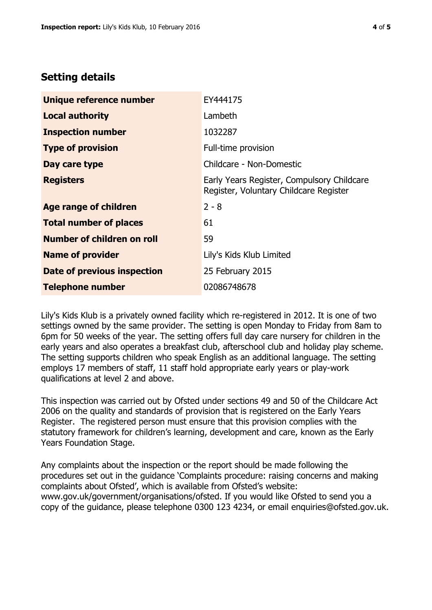## **Setting details**

| Unique reference number       | EY444175                                                                             |  |
|-------------------------------|--------------------------------------------------------------------------------------|--|
| <b>Local authority</b>        | Lambeth                                                                              |  |
| <b>Inspection number</b>      | 1032287                                                                              |  |
| <b>Type of provision</b>      | Full-time provision                                                                  |  |
| Day care type                 | Childcare - Non-Domestic                                                             |  |
| <b>Registers</b>              | Early Years Register, Compulsory Childcare<br>Register, Voluntary Childcare Register |  |
| <b>Age range of children</b>  | $2 - 8$                                                                              |  |
| <b>Total number of places</b> | 61                                                                                   |  |
| Number of children on roll    | 59                                                                                   |  |
| <b>Name of provider</b>       | Lily's Kids Klub Limited                                                             |  |
| Date of previous inspection   | 25 February 2015                                                                     |  |
| <b>Telephone number</b>       | 02086748678                                                                          |  |

Lily's Kids Klub is a privately owned facility which re-registered in 2012. It is one of two settings owned by the same provider. The setting is open Monday to Friday from 8am to 6pm for 50 weeks of the year. The setting offers full day care nursery for children in the early years and also operates a breakfast club, afterschool club and holiday play scheme. The setting supports children who speak English as an additional language. The setting employs 17 members of staff, 11 staff hold appropriate early years or play-work qualifications at level 2 and above.

This inspection was carried out by Ofsted under sections 49 and 50 of the Childcare Act 2006 on the quality and standards of provision that is registered on the Early Years Register. The registered person must ensure that this provision complies with the statutory framework for children's learning, development and care, known as the Early Years Foundation Stage.

Any complaints about the inspection or the report should be made following the procedures set out in the guidance 'Complaints procedure: raising concerns and making complaints about Ofsted', which is available from Ofsted's website: www.gov.uk/government/organisations/ofsted. If you would like Ofsted to send you a copy of the guidance, please telephone 0300 123 4234, or email enquiries@ofsted.gov.uk.